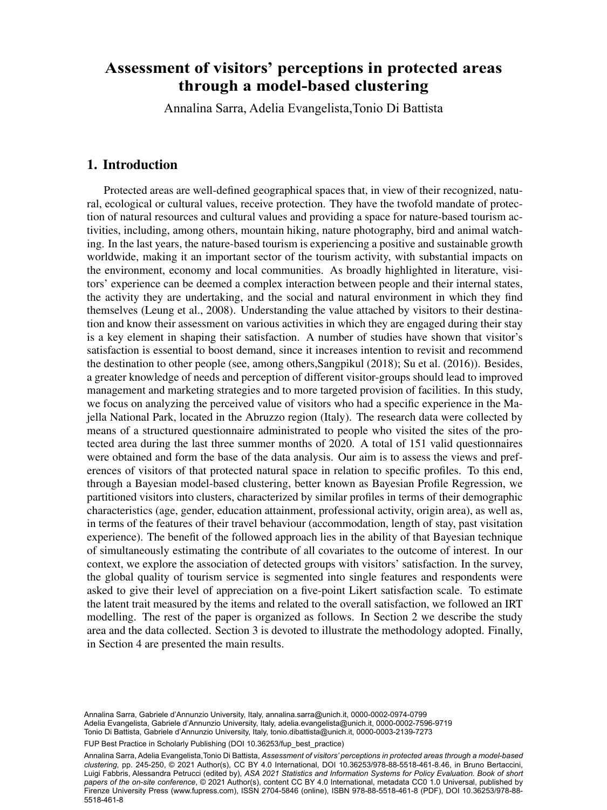## through a model-based clustering through a model-based clustering **Assessment of visitors' perceptions in protected areas**

Annalina Sarra, Adelia Evangelista,Tonio Di Battista

## 1. Introduction

Protected areas are well-defined geographical spaces that, in view of their recognized, natural, ecological or cultural values, receive protection. They have the twofold mandate of protection of natural resources and cultural values and providing a space for nature-based tourism activities, including, among others, mountain hiking, nature photography, bird and animal watching. In the last years, the nature-based tourism is experiencing a positive and sustainable growth worldwide, making it an important sector of the tourism activity, with substantial impacts on the environment, economy and local communities. As broadly highlighted in literature, visitors' experience can be deemed a complex interaction between people and their internal states, the activity they are undertaking, and the social and natural environment in which they find themselves (Leung et al., 2008). Understanding the value attached by visitors to their destination and know their assessment on various activities in which they are engaged during their stay is a key element in shaping their satisfaction. A number of studies have shown that visitor's satisfaction is essential to boost demand, since it increases intention to revisit and recommend the destination to other people (see, among others,Sangpikul (2018); Su et al. (2016)). Besides, a greater knowledge of needs and perception of different visitor-groups should lead to improved management and marketing strategies and to more targeted provision of facilities. In this study, we focus on analyzing the perceived value of visitors who had a specific experience in the Majella National Park, located in the Abruzzo region (Italy). The research data were collected by means of a structured questionnaire administrated to people who visited the sites of the protected area during the last three summer months of 2020. A total of 151 valid questionnaires were obtained and form the base of the data analysis. Our aim is to assess the views and preferences of visitors of that protected natural space in relation to specific profiles. To this end, through a Bayesian model-based clustering, better known as Bayesian Profile Regression, we partitioned visitors into clusters, characterized by similar profiles in terms of their demographic characteristics (age, gender, education attainment, professional activity, origin area), as well as, in terms of the features of their travel behaviour (accommodation, length of stay, past visitation experience). The benefit of the followed approach lies in the ability of that Bayesian technique of simultaneously estimating the contribute of all covariates to the outcome of interest. In our context, we explore the association of detected groups with visitors' satisfaction. In the survey, the global quality of tourism service is segmented into single features and respondents were asked to give their level of appreciation on a five-point Likert satisfaction scale. To estimate the latent trait measured by the items and related to the overall satisfaction, we followed an IRT modelling. The rest of the paper is organized as follows. In Section 2 we describe the study area and the data collected. Section 3 is devoted to illustrate the methodology adopted. Finally, in Section 4 are presented the main results.

Annalina Sarra, Gabriele d'Annunzio University, Italy, [annalina.sarra@unich.it,](mailto:annalina.sarra@unich.it) [0000-0002-0974-0799](https://orcid.org/0000-0002-0974-0799) Adelia Evangelista, Gabriele d'Annunzio University, Italy, [adelia.evangelista@unich.it,](mailto:adelia.evangelista@unich.it) [0000-0002-7596-9719](https://orcid.org/0000-0002-7596-9719) Tonio Di Battista, Gabriele d'Annunzio University, Italy, [tonio.dibattista@unich.it,](mailto:tonio.dibattista@unich.it) [0000-0003-2139-7273](https://orcid.org/0000-0003-2139-7273)

FUP Best Practice in Scholarly Publishing (DOI [10.36253/fup\\_best\\_practice](https://doi.org/10.36253/fup_best_practice))

Annalina Sarra, Adelia Evangelista,Tonio Di Battista, *Assessment of visitors' perceptions in protected areas through a model-based clustering*, pp. 245-250, © 2021 Author(s), [CC BY 4.0 International,](http://creativecommons.org/licenses/by/4.0/legalcode) DOI [10.36253/978-88-5518-461-8.46](https://doi.org/10.36253/978-88-5518-461-8.46), in Bruno Bertaccini, Luigi Fabbris, Alessandra Petrucci (edited by), *ASA 2021 Statistics and Information Systems for Policy Evaluation. Book of short papers of the on-site conference*, © 2021 Author(s), content [CC BY 4.0 International](http://creativecommons.org/licenses/by/4.0/legalcode), metadata [CC0 1.0 Universal](https://creativecommons.org/publicdomain/zero/1.0/legalcode), published by Firenze University Press [\(www.fupress.com\)](http://www.fupress.com), ISSN 2704-5846 (online), ISBN 978-88-5518-461-8 (PDF), DOI [10.36253/978-88-](https://doi.org/10.36253/978-88-5518-461-8) [5518-461-8](https://doi.org/10.36253/978-88-5518-461-8)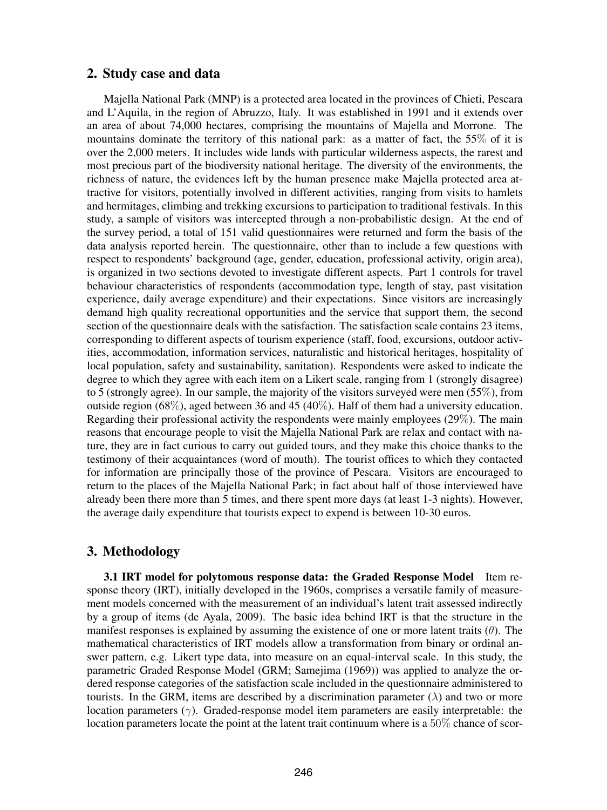## 2. Study case and data

Majella National Park (MNP) is a protected area located in the provinces of Chieti, Pescara and L'Aquila, in the region of Abruzzo, Italy. It was established in 1991 and it extends over an area of about 74,000 hectares, comprising the mountains of Majella and Morrone. The mountains dominate the territory of this national park: as a matter of fact, the 55% of it is over the 2,000 meters. It includes wide lands with particular wilderness aspects, the rarest and most precious part of the biodiversity national heritage. The diversity of the environments, the richness of nature, the evidences left by the human presence make Majella protected area attractive for visitors, potentially involved in different activities, ranging from visits to hamlets and hermitages, climbing and trekking excursions to participation to traditional festivals. In this study, a sample of visitors was intercepted through a non-probabilistic design. At the end of the survey period, a total of 151 valid questionnaires were returned and form the basis of the data analysis reported herein. The questionnaire, other than to include a few questions with respect to respondents' background (age, gender, education, professional activity, origin area), is organized in two sections devoted to investigate different aspects. Part 1 controls for travel behaviour characteristics of respondents (accommodation type, length of stay, past visitation experience, daily average expenditure) and their expectations. Since visitors are increasingly demand high quality recreational opportunities and the service that support them, the second section of the questionnaire deals with the satisfaction. The satisfaction scale contains 23 items, corresponding to different aspects of tourism experience (staff, food, excursions, outdoor activities, accommodation, information services, naturalistic and historical heritages, hospitality of local population, safety and sustainability, sanitation). Respondents were asked to indicate the degree to which they agree with each item on a Likert scale, ranging from 1 (strongly disagree) to 5 (strongly agree). In our sample, the majority of the visitors surveyed were men (55%), from outside region  $(68\%)$ , aged between 36 and 45 (40%). Half of them had a university education. Regarding their professional activity the respondents were mainly employees (29%). The main reasons that encourage people to visit the Majella National Park are relax and contact with nature, they are in fact curious to carry out guided tours, and they make this choice thanks to the testimony of their acquaintances (word of mouth). The tourist offices to which they contacted for information are principally those of the province of Pescara. Visitors are encouraged to return to the places of the Majella National Park; in fact about half of those interviewed have already been there more than 5 times, and there spent more days (at least 1-3 nights). However, the average daily expenditure that tourists expect to expend is between 10-30 euros.

# 3. Methodology

3.1 IRT model for polytomous response data: the Graded Response Model Item response theory (IRT), initially developed in the 1960s, comprises a versatile family of measurement models concerned with the measurement of an individual's latent trait assessed indirectly by a group of items (de Ayala, 2009). The basic idea behind IRT is that the structure in the manifest responses is explained by assuming the existence of one or more latent traits  $(\theta)$ . The mathematical characteristics of IRT models allow a transformation from binary or ordinal answer pattern, e.g. Likert type data, into measure on an equal-interval scale. In this study, the parametric Graded Response Model (GRM; Samejima (1969)) was applied to analyze the ordered response categories of the satisfaction scale included in the questionnaire administered to tourists. In the GRM, items are described by a discrimination parameter ( $\lambda$ ) and two or more location parameters  $(\gamma)$ . Graded-response model item parameters are easily interpretable: the location parameters locate the point at the latent trait continuum where is a 50% chance of scor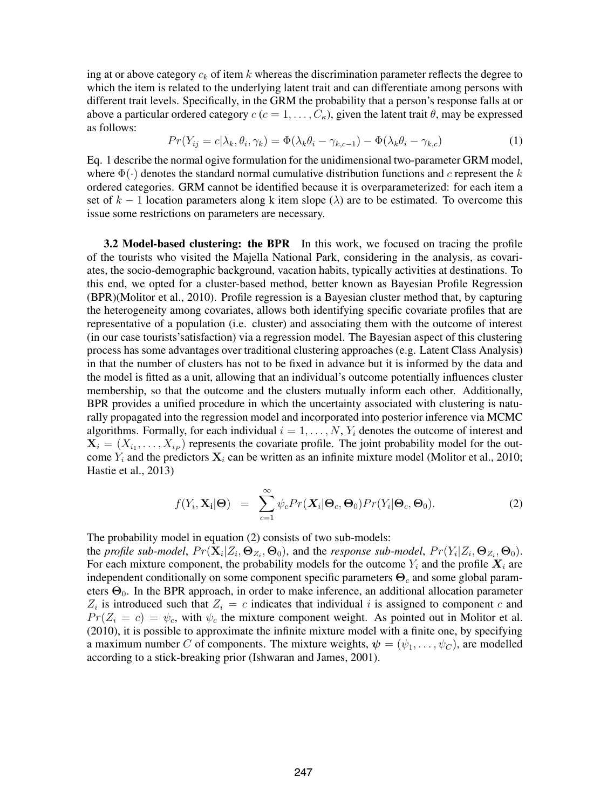ing at or above category  $c_k$  of item k whereas the discrimination parameter reflects the degree to which the item is related to the underlying latent trait and can differentiate among persons with different trait levels. Specifically, in the GRM the probability that a person's response falls at or above a particular ordered category  $c$  ( $c = 1, \ldots, C_{\kappa}$ ), given the latent trait  $\theta$ , may be expressed as follows:

$$
Pr(Y_{ij} = c | \lambda_k, \theta_i, \gamma_k) = \Phi(\lambda_k \theta_i - \gamma_{k,c-1}) - \Phi(\lambda_k \theta_i - \gamma_{k,c})
$$
\n(1)

Eq. 1 describe the normal ogive formulation for the unidimensional two-parameter GRM model, where  $\Phi(\cdot)$  denotes the standard normal cumulative distribution functions and c represent the k ordered categories. GRM cannot be identified because it is overparameterized: for each item a set of  $k - 1$  location parameters along k item slope ( $\lambda$ ) are to be estimated. To overcome this issue some restrictions on parameters are necessary.

3.2 Model-based clustering: the BPR In this work, we focused on tracing the profile of the tourists who visited the Majella National Park, considering in the analysis, as covariates, the socio-demographic background, vacation habits, typically activities at destinations. To this end, we opted for a cluster-based method, better known as Bayesian Profile Regression (BPR)(Molitor et al., 2010). Profile regression is a Bayesian cluster method that, by capturing the heterogeneity among covariates, allows both identifying specific covariate profiles that are representative of a population (i.e. cluster) and associating them with the outcome of interest (in our case tourists'satisfaction) via a regression model. The Bayesian aspect of this clustering process has some advantages over traditional clustering approaches (e.g. Latent Class Analysis) in that the number of clusters has not to be fixed in advance but it is informed by the data and the model is fitted as a unit, allowing that an individual's outcome potentially influences cluster membership, so that the outcome and the clusters mutually inform each other. Additionally, BPR provides a unified procedure in which the uncertainty associated with clustering is naturally propagated into the regression model and incorporated into posterior inference via MCMC algorithms. Formally, for each individual  $i = 1, \ldots, N$ ,  $Y_i$  denotes the outcome of interest and  $X_i = (X_{i_1}, \ldots, X_{i_p})$  represents the covariate profile. The joint probability model for the outcome  $Y_i$  and the predictors  $X_i$  can be written as an infinite mixture model (Molitor et al., 2010; Hastie et al., 2013)

$$
f(Y_i, \mathbf{X_i} | \mathbf{\Theta}) = \sum_{c=1}^{\infty} \psi_c Pr(\mathbf{X_i} | \mathbf{\Theta}_c, \mathbf{\Theta}_0) Pr(Y_i | \mathbf{\Theta}_c, \mathbf{\Theta}_0).
$$
 (2)

The probability model in equation (2) consists of two sub-models:

the *profile sub-model*,  $Pr(\mathbf{X}_i | Z_i, \Theta_{Z_i}, \Theta_0)$ , and the *response sub-model*,  $Pr(Y_i | Z_i, \Theta_{Z_i}, \Theta_0)$ . For each mixture component, the probability models for the outcome  $Y_i$  and the profile  $X_i$  are independent conditionally on some component specific parameters  $\Theta_c$  and some global parameters  $\Theta_0$ . In the BPR approach, in order to make inference, an additional allocation parameter  $Z_i$  is introduced such that  $Z_i = c$  indicates that individual i is assigned to component c and  $Pr(Z_i = c) = \psi_c$ , with  $\psi_c$  the mixture component weight. As pointed out in Molitor et al. (2010), it is possible to approximate the infinite mixture model with a finite one, by specifying a maximum number C of components. The mixture weights,  $\psi = (\psi_1, \dots, \psi_C)$ , are modelled according to a stick-breaking prior (Ishwaran and James, 2001).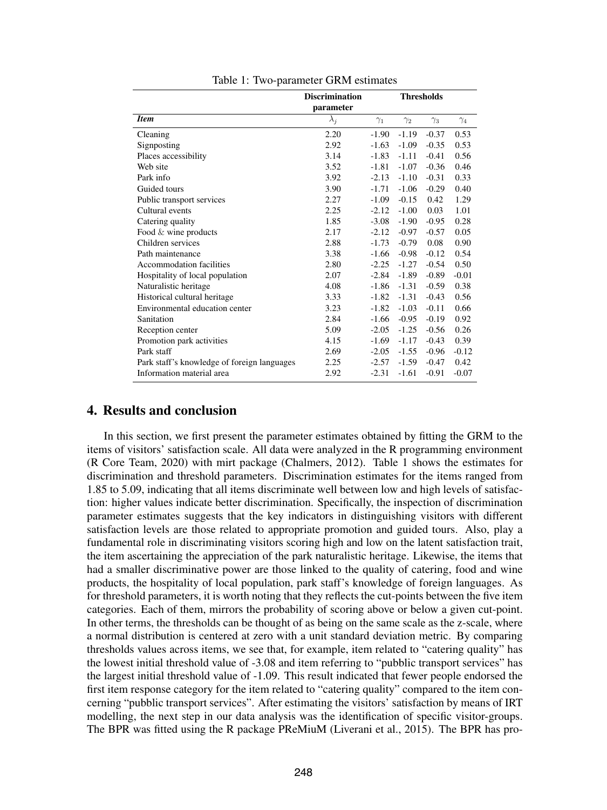|                                             | <b>Discrimination</b> | <b>Thresholds</b> |            |            |            |
|---------------------------------------------|-----------------------|-------------------|------------|------------|------------|
|                                             | parameter             |                   |            |            |            |
| <b>Item</b>                                 | $\lambda_j$           | $\gamma_1$        | $\gamma_2$ | $\gamma_3$ | $\gamma_4$ |
| Cleaning                                    | 2.20                  | $-1.90$           | $-1.19$    | $-0.37$    | 0.53       |
| Signposting                                 | 2.92                  | $-1.63$           | $-1.09$    | $-0.35$    | 0.53       |
| Places accessibility                        | 3.14                  | $-1.83$           | $-1.11$    | $-0.41$    | 0.56       |
| Web site                                    | 3.52                  | $-1.81$           | $-1.07$    | $-0.36$    | 0.46       |
| Park info                                   | 3.92                  | $-2.13$           | $-1.10$    | $-0.31$    | 0.33       |
| Guided tours                                | 3.90                  | $-1.71$           | $-1.06$    | $-0.29$    | 0.40       |
| Public transport services                   | 2.27                  | $-1.09$           | $-0.15$    | 0.42       | 1.29       |
| Cultural events                             | 2.25                  | $-2.12$           | $-1.00$    | 0.03       | 1.01       |
| Catering quality                            | 1.85                  | $-3.08$           | $-1.90$    | $-0.95$    | 0.28       |
| Food $&$ wine products                      | 2.17                  | $-2.12$           | $-0.97$    | $-0.57$    | 0.05       |
| Children services                           | 2.88                  | $-1.73$           | $-0.79$    | 0.08       | 0.90       |
| Path maintenance                            | 3.38                  | $-1.66$           | $-0.98$    | $-0.12$    | 0.54       |
| Accommodation facilities                    | 2.80                  | $-2.25$           | $-1.27$    | $-0.54$    | 0.50       |
| Hospitality of local population             | 2.07                  | $-2.84$           | $-1.89$    | $-0.89$    | $-0.01$    |
| Naturalistic heritage                       | 4.08                  | $-1.86$           | $-1.31$    | $-0.59$    | 0.38       |
| Historical cultural heritage                | 3.33                  | $-1.82$           | $-1.31$    | $-0.43$    | 0.56       |
| Environmental education center              | 3.23                  | $-1.82$           | $-1.03$    | $-0.11$    | 0.66       |
| Sanitation                                  | 2.84                  | $-1.66$           | $-0.95$    | $-0.19$    | 0.92       |
| Reception center                            | 5.09                  | $-2.05$           | $-1.25$    | $-0.56$    | 0.26       |
| Promotion park activities                   | 4.15                  | $-1.69$           | $-1.17$    | $-0.43$    | 0.39       |
| Park staff                                  | 2.69                  | $-2.05$           | $-1.55$    | $-0.96$    | $-0.12$    |
| Park staff's knowledge of foreign languages | 2.25                  | $-2.57$           | $-1.59$    | $-0.47$    | 0.42       |
| Information material area                   | 2.92                  | $-2.31$           | $-1.61$    | $-0.91$    | $-0.07$    |

Table 1: Two-parameter GRM estimates

#### 4. Results and conclusion

In this section, we first present the parameter estimates obtained by fitting the GRM to the items of visitors' satisfaction scale. All data were analyzed in the R programming environment (R Core Team, 2020) with mirt package (Chalmers, 2012). Table 1 shows the estimates for discrimination and threshold parameters. Discrimination estimates for the items ranged from 1.85 to 5.09, indicating that all items discriminate well between low and high levels of satisfaction: higher values indicate better discrimination. Specifically, the inspection of discrimination parameter estimates suggests that the key indicators in distinguishing visitors with different satisfaction levels are those related to appropriate promotion and guided tours. Also, play a fundamental role in discriminating visitors scoring high and low on the latent satisfaction trait, the item ascertaining the appreciation of the park naturalistic heritage. Likewise, the items that had a smaller discriminative power are those linked to the quality of catering, food and wine products, the hospitality of local population, park staff's knowledge of foreign languages. As for threshold parameters, it is worth noting that they reflects the cut-points between the five item categories. Each of them, mirrors the probability of scoring above or below a given cut-point. In other terms, the thresholds can be thought of as being on the same scale as the z-scale, where a normal distribution is centered at zero with a unit standard deviation metric. By comparing thresholds values across items, we see that, for example, item related to "catering quality" has the lowest initial threshold value of -3.08 and item referring to "pubblic transport services" has the largest initial threshold value of -1.09. This result indicated that fewer people endorsed the first item response category for the item related to "catering quality" compared to the item concerning "pubblic transport services". After estimating the visitors' satisfaction by means of IRT modelling, the next step in our data analysis was the identification of specific visitor-groups. The BPR was fitted using the R package PReMiuM (Liverani et al., 2015). The BPR has pro-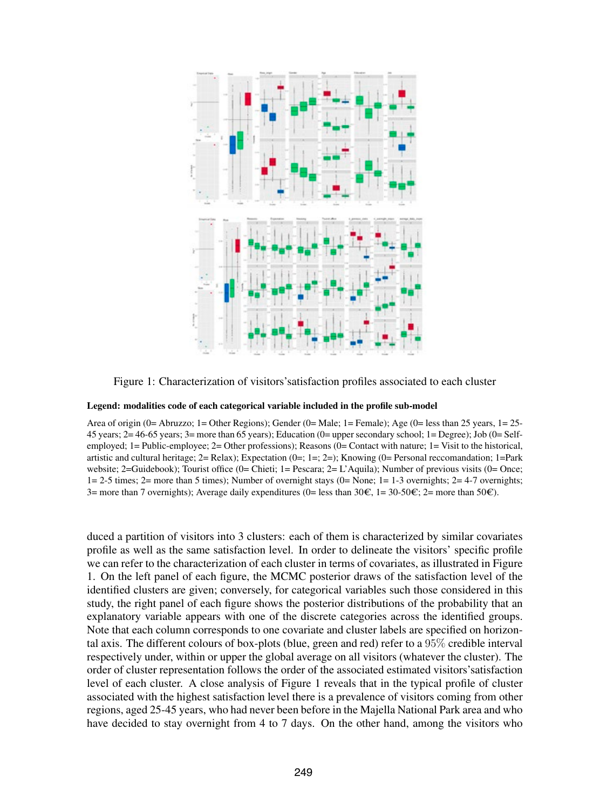

Figure 1: Characterization of visitors'satisfaction profiles associated to each cluster

#### Legend: modalities code of each categorical variable included in the profile sub-model

Area of origin (0= Abruzzo; 1= Other Regions); Gender (0= Male; 1= Female); Age (0= less than 25 years, 1= 25- 45 years;  $2=46-65$  years;  $3=$  more than 65 years); Education (0= upper secondary school; 1= Degree); Job (0= Selfemployed; 1= Public-employee; 2= Other professions); Reasons (0= Contact with nature; 1= Visit to the historical, artistic and cultural heritage; 2= Relax); Expectation (0=; 1=; 2=); Knowing (0= Personal reccomandation; 1=Park website; 2=Guidebook); Tourist office (0= Chieti; 1= Pescara; 2= L'Aquila); Number of previous visits (0= Once; 1= 2-5 times; 2= more than 5 times); Number of overnight stays (0= None; 1= 1-3 overnights; 2= 4-7 overnights; 3= more than 7 overnights); Average daily expenditures (0= less than  $30\epsilon$ , 1=  $30-50\epsilon$ ; 2= more than  $50\epsilon$ ).

duced a partition of visitors into 3 clusters: each of them is characterized by similar covariates profile as well as the same satisfaction level. In order to delineate the visitors' specific profile we can refer to the characterization of each cluster in terms of covariates, as illustrated in Figure 1. On the left panel of each figure, the MCMC posterior draws of the satisfaction level of the identified clusters are given; conversely, for categorical variables such those considered in this study, the right panel of each figure shows the posterior distributions of the probability that an explanatory variable appears with one of the discrete categories across the identified groups. Note that each column corresponds to one covariate and cluster labels are specified on horizontal axis. The different colours of box-plots (blue, green and red) refer to a 95% credible interval respectively under, within or upper the global average on all visitors (whatever the cluster). The order of cluster representation follows the order of the associated estimated visitors'satisfaction level of each cluster. A close analysis of Figure 1 reveals that in the typical profile of cluster associated with the highest satisfaction level there is a prevalence of visitors coming from other regions, aged 25-45 years, who had never been before in the Majella National Park area and who have decided to stay overnight from 4 to 7 days. On the other hand, among the visitors who